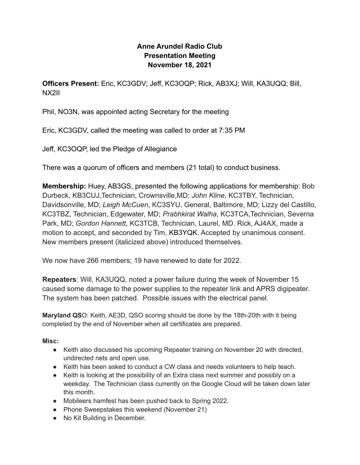## **Anne Arundel Radio Club Presentation Meeting November 18, 2021**

**Officers Present:** Eric, KC3GDV; Jeff, KC3OQP; Rick, AB3XJ; Will, KA3UQQ; Bill, NX2II

Phil, NO3N, was appointed acting Secretary for the meeting

Eric, KC3GDV, called the meeting was called to order at 7:35 PM

Jeff, KC3OQP, led the Pledge of Allegiance

There was a quorum of officers and members (21 total) to conduct business.

**Membership:** Huey, AB3GS, presented the following applications for membership: Bob Durbeck, KB3CUJ,Technician, Crownsville,MD; *John Kline*, KC3TBY, Technician, Davidsonville, MD; *Leigh McCuen*, KC3SYU, General, Baltimore, MD; Lizzy del Castillo, KC3TBZ, Technician, Edgewater, MD; *Prabhkirat Walha*, KC3TCA,Technician, Severna Park, MD; *Gordon Hannett*, KC3TCB, Technician, Laurel, MD. Rick, AJ4AX, made a motion to accept, and seconded by Tim, KB3YQK. Accepted by unanimous consent. New members present (italicized above) introduced themselves.

We now have 266 members; 19 have renewed to date for 2022.

**Repeaters**: Will, KA3UQQ, noted a power failure during the week of November 15 caused some damage to the power supplies to the repeater link and APRS digipeater. The system has been patched. Possible issues with the electrical panel.

**Maryland QS**O: Keith, AE3D, QSO scoring should be done by the 18th-20th with it being completed by the end of November when all certificates are prepared.

## **Misc:**

- Keith also discussed his upcoming Repeater training on November 20 with directed, undirected nets and open use.
- Keith has been asked to conduct a CW class and needs volunteers to help teach.
- Keith is looking at the possibility of an Extra class next summer and possibly on a weekday. The Technician class currently on the Google Cloud will be taken down later this month.
- Mobileers hamfest has been pushed back to Spring 2022.
- Phone Sweepstakes this weekend (November 21)
- No Kit Building in December.